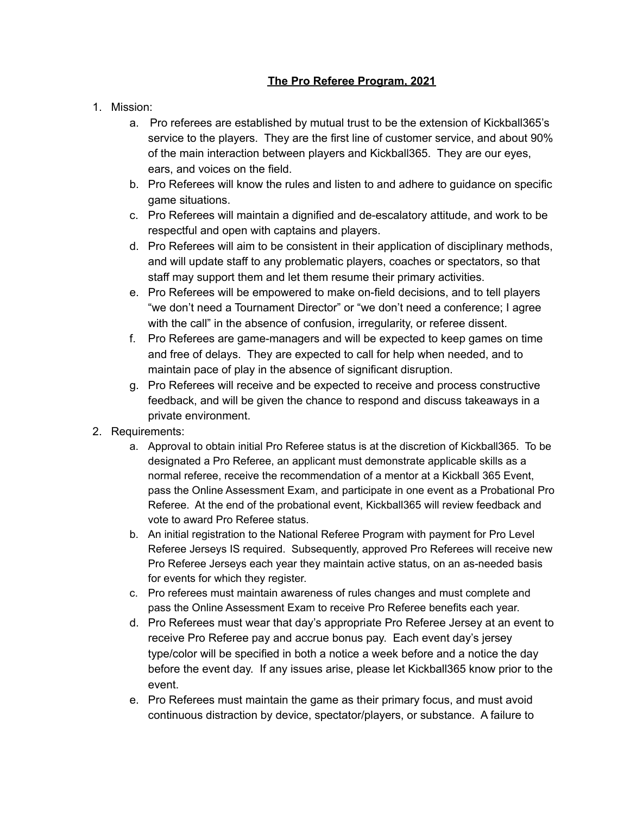## **The Pro Referee Program, 2021**

## 1. Mission:

- a. Pro referees are established by mutual trust to be the extension of Kickball365's service to the players. They are the first line of customer service, and about 90% of the main interaction between players and Kickball365. They are our eyes, ears, and voices on the field.
- b. Pro Referees will know the rules and listen to and adhere to guidance on specific game situations.
- c. Pro Referees will maintain a dignified and de-escalatory attitude, and work to be respectful and open with captains and players.
- d. Pro Referees will aim to be consistent in their application of disciplinary methods, and will update staff to any problematic players, coaches or spectators, so that staff may support them and let them resume their primary activities.
- e. Pro Referees will be empowered to make on-field decisions, and to tell players "we don't need a Tournament Director" or "we don't need a conference; I agree with the call" in the absence of confusion, irregularity, or referee dissent.
- f. Pro Referees are game-managers and will be expected to keep games on time and free of delays. They are expected to call for help when needed, and to maintain pace of play in the absence of significant disruption.
- g. Pro Referees will receive and be expected to receive and process constructive feedback, and will be given the chance to respond and discuss takeaways in a private environment.
- 2. Requirements:
	- a. Approval to obtain initial Pro Referee status is at the discretion of Kickball365. To be designated a Pro Referee, an applicant must demonstrate applicable skills as a normal referee, receive the recommendation of a mentor at a Kickball 365 Event, pass the Online Assessment Exam, and participate in one event as a Probational Pro Referee. At the end of the probational event, Kickball365 will review feedback and vote to award Pro Referee status.
	- b. An initial registration to the National Referee Program with payment for Pro Level Referee Jerseys IS required. Subsequently, approved Pro Referees will receive new Pro Referee Jerseys each year they maintain active status, on an as-needed basis for events for which they register.
	- c. Pro referees must maintain awareness of rules changes and must complete and pass the Online Assessment Exam to receive Pro Referee benefits each year.
	- d. Pro Referees must wear that day's appropriate Pro Referee Jersey at an event to receive Pro Referee pay and accrue bonus pay. Each event day's jersey type/color will be specified in both a notice a week before and a notice the day before the event day. If any issues arise, please let Kickball365 know prior to the event.
	- e. Pro Referees must maintain the game as their primary focus, and must avoid continuous distraction by device, spectator/players, or substance. A failure to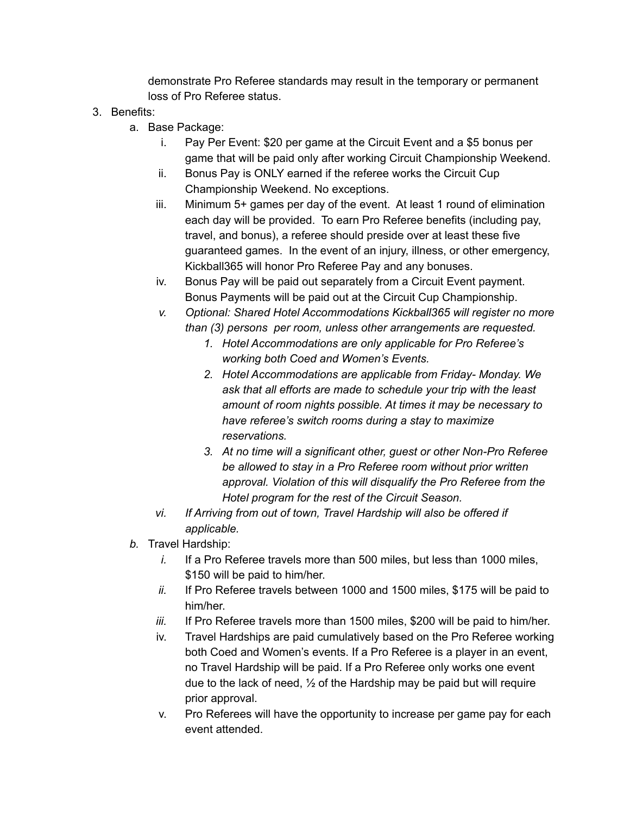demonstrate Pro Referee standards may result in the temporary or permanent loss of Pro Referee status.

## 3. Benefits:

- a. Base Package:
	- i. Pay Per Event: \$20 per game at the Circuit Event and a \$5 bonus per game that will be paid only after working Circuit Championship Weekend.
	- ii. Bonus Pay is ONLY earned if the referee works the Circuit Cup Championship Weekend. No exceptions.
	- iii. Minimum 5+ games per day of the event. At least 1 round of elimination each day will be provided. To earn Pro Referee benefits (including pay, travel, and bonus), a referee should preside over at least these five guaranteed games. In the event of an injury, illness, or other emergency, Kickball365 will honor Pro Referee Pay and any bonuses.
	- iv. Bonus Pay will be paid out separately from a Circuit Event payment. Bonus Payments will be paid out at the Circuit Cup Championship.
	- *v. Optional: Shared Hotel Accommodations Kickball365 will register no more than (3) persons per room, unless other arrangements are requested.*
		- *1. Hotel Accommodations are only applicable for Pro Referee's working both Coed and Women's Events.*
		- *2. Hotel Accommodations are applicable from Friday- Monday. We ask that all efforts are made to schedule your trip with the least amount of room nights possible. At times it may be necessary to have referee's switch rooms during a stay to maximize reservations.*
		- *3. At no time will a significant other, guest or other Non-Pro Referee be allowed to stay in a Pro Referee room without prior written approval. Violation of this will disqualify the Pro Referee from the Hotel program for the rest of the Circuit Season.*
	- *vi. If Arriving from out of town, Travel Hardship will also be offered if applicable.*
- *b.* Travel Hardship:
	- *i.* If a Pro Referee travels more than 500 miles, but less than 1000 miles, \$150 will be paid to him/her.
	- *ii.* If Pro Referee travels between 1000 and 1500 miles, \$175 will be paid to him/her.
	- *iii.* If Pro Referee travels more than 1500 miles, \$200 will be paid to him/her.
	- iv. Travel Hardships are paid cumulatively based on the Pro Referee working both Coed and Women's events. If a Pro Referee is a player in an event, no Travel Hardship will be paid. If a Pro Referee only works one event due to the lack of need, ½ of the Hardship may be paid but will require prior approval.
	- v. Pro Referees will have the opportunity to increase per game pay for each event attended.